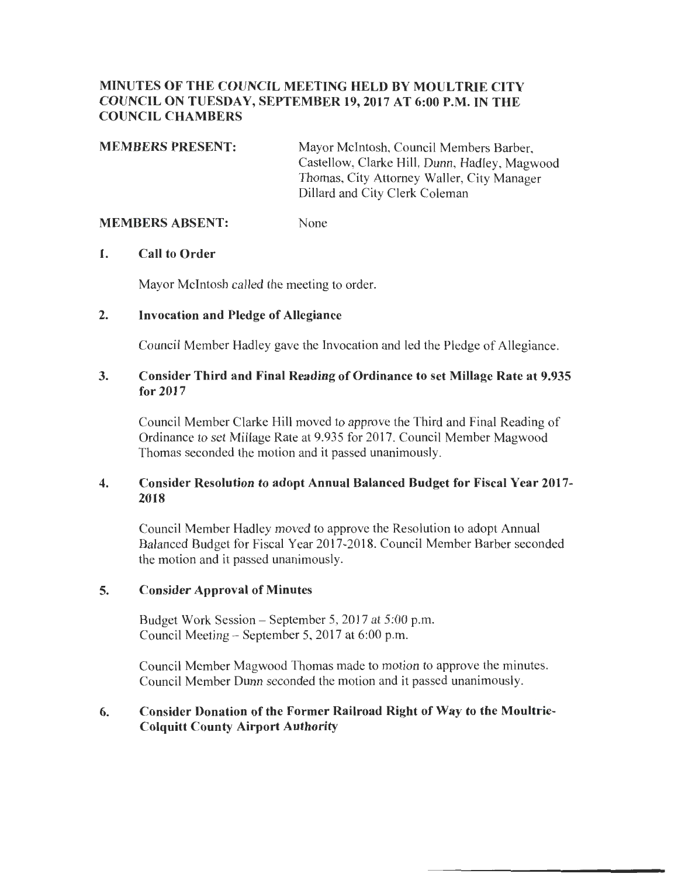## MINUTES OF THE COUNCIL MEETING HELD BY MOULTRIE CITY COUNCIL ON TUESDAY, SEPTEMBER 19, 2017 AT 6:00 P.M. IN THE COUNCIL CHAMBERS

MEMBERS PRESENT: Mayor Mcintosh, Council Members Barber, Castellow, Clarke Hill, Dunn, Hadley, Magwood Thomas, City Attorney Waller, City Manager Dillard and City Clerk Coleman

#### MEMBERS ABSENT: None

#### 1. Call to Order

Mayor McIntosh called the meeting to order.

#### 2. Invocation and Pledge of Allegiance

Council Member Hadley gave the Invocation and led the Pledge of Allegiance.

## 3. Consider Third and Final Reading of Ordinance to set Millage Rate at 9.935 for 2017

Council Member Clarke Hill moved to approve the Third and Final Reading of Ordinance to set Millage Rate at 9.935 for 2017. Council Member Magwood Thomas seconded the motion and it passed unanimously.

## 4. Consider Resolution to adopt Annual Balanced Budget for Fiscal Year 2017- 2018

Council Member Hadley moved to approve the Resolution to adopt Annual Balanced Budget for Fiscal Year 2017-2018. Council Member Barber seconded the motion and it passed unanimously.

#### 5. Consider Approval of Minutes

Budget Work Session - September 5, 2017 at 5:00 p.m. Council Meeting - September 5, 2017 at 6:00 p.m.

Council Member Magwood Thomas made to motion to approve the minutes. Council Member Dunn seconded the motion and it passed unanimously.

## 6. Consider Donation of the Former Railroad Right of Way to the Moultrie-Colquitt County Airport Authority